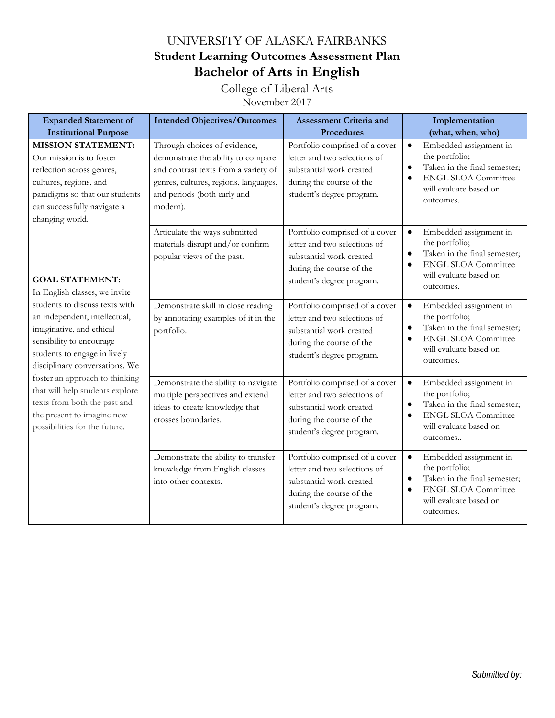## UNIVERSITY OF ALASKA FAIRBANKS **Student Learning Outcomes Assessment Plan Bachelor of Arts in English**

College of Liberal Arts

November 2017

| <b>Expanded Statement of</b>                                                                                                                                                                                                                                                                                                                                                                                             | <b>Intended Objectives/Outcomes</b>                                                                                                                                                            | <b>Assessment Criteria and</b>                                                                                                                      | Implementation                                                                                                                                                                       |
|--------------------------------------------------------------------------------------------------------------------------------------------------------------------------------------------------------------------------------------------------------------------------------------------------------------------------------------------------------------------------------------------------------------------------|------------------------------------------------------------------------------------------------------------------------------------------------------------------------------------------------|-----------------------------------------------------------------------------------------------------------------------------------------------------|--------------------------------------------------------------------------------------------------------------------------------------------------------------------------------------|
| <b>Institutional Purpose</b>                                                                                                                                                                                                                                                                                                                                                                                             |                                                                                                                                                                                                | Procedures                                                                                                                                          | (what, when, who)                                                                                                                                                                    |
| <b>MISSION STATEMENT:</b><br>Our mission is to foster<br>reflection across genres,<br>cultures, regions, and<br>paradigms so that our students<br>can successfully navigate a<br>changing world.                                                                                                                                                                                                                         | Through choices of evidence,<br>demonstrate the ability to compare<br>and contrast texts from a variety of<br>genres, cultures, regions, languages,<br>and periods (both early and<br>modern). | Portfolio comprised of a cover<br>letter and two selections of<br>substantial work created<br>during the course of the<br>student's degree program. | Embedded assignment in<br>$\bullet$<br>the portfolio;<br>Taken in the final semester;<br>$\bullet$<br><b>ENGL SLOA Committee</b><br>$\bullet$<br>will evaluate based on<br>outcomes. |
| <b>GOAL STATEMENT:</b><br>In English classes, we invite<br>students to discuss texts with<br>an independent, intellectual,<br>imaginative, and ethical<br>sensibility to encourage<br>students to engage in lively<br>disciplinary conversations. We<br>foster an approach to thinking<br>that will help students explore<br>texts from both the past and<br>the present to imagine new<br>possibilities for the future. | Articulate the ways submitted<br>materials disrupt and/or confirm<br>popular views of the past.                                                                                                | Portfolio comprised of a cover<br>letter and two selections of<br>substantial work created<br>during the course of the<br>student's degree program. | Embedded assignment in<br>$\bullet$<br>the portfolio;<br>Taken in the final semester;<br>$\bullet$<br><b>ENGL SLOA Committee</b><br>$\bullet$<br>will evaluate based on<br>outcomes. |
|                                                                                                                                                                                                                                                                                                                                                                                                                          | Demonstrate skill in close reading<br>by annotating examples of it in the<br>portfolio.                                                                                                        | Portfolio comprised of a cover<br>letter and two selections of<br>substantial work created<br>during the course of the<br>student's degree program. | Embedded assignment in<br>$\bullet$<br>the portfolio;<br>Taken in the final semester;<br>$\bullet$<br><b>ENGL SLOA Committee</b><br>$\bullet$<br>will evaluate based on<br>outcomes. |
|                                                                                                                                                                                                                                                                                                                                                                                                                          | Demonstrate the ability to navigate<br>multiple perspectives and extend<br>ideas to create knowledge that<br>crosses boundaries.                                                               | Portfolio comprised of a cover<br>letter and two selections of<br>substantial work created<br>during the course of the<br>student's degree program. | Embedded assignment in<br>$\bullet$<br>the portfolio;<br>Taken in the final semester;<br>$\bullet$<br><b>ENGL SLOA Committee</b><br>$\bullet$<br>will evaluate based on<br>outcomes  |
|                                                                                                                                                                                                                                                                                                                                                                                                                          | Demonstrate the ability to transfer<br>knowledge from English classes<br>into other contexts.                                                                                                  | Portfolio comprised of a cover<br>letter and two selections of<br>substantial work created<br>during the course of the<br>student's degree program. | Embedded assignment in<br>$\bullet$<br>the portfolio;<br>Taken in the final semester;<br><b>ENGL SLOA Committee</b><br>$\bullet$<br>will evaluate based on<br>outcomes.              |